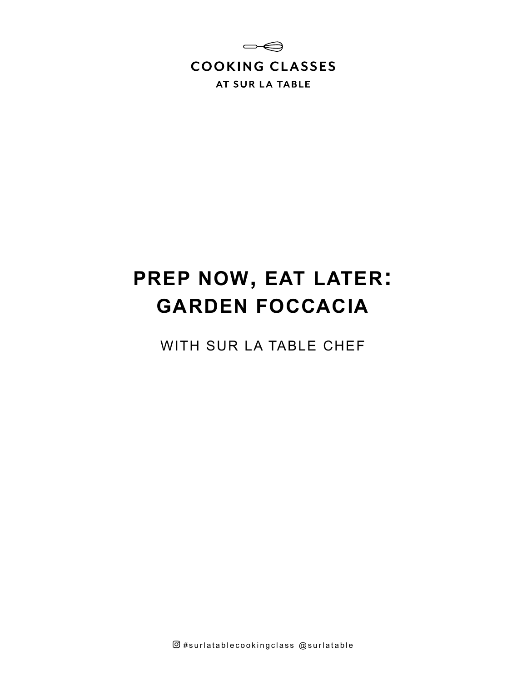

# **PREP NOW, EAT LATER: GARDEN FOCCACIA**

WITH SUR LA TABLE CHEF

 $@$ #surlatablecookingclass  $@$ surlatable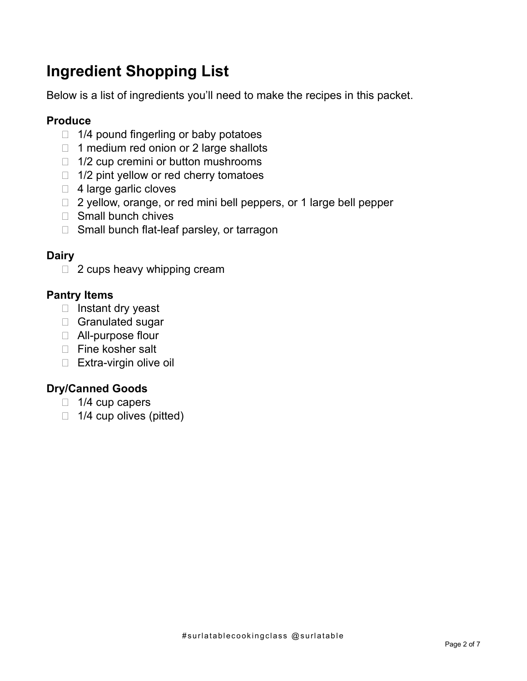# **Ingredient Shopping List**

Below is a list of ingredients you'll need to make the recipes in this packet.

### **Produce**

- $\Box$  1/4 pound fingerling or baby potatoes
- $\Box$  1 medium red onion or 2 large shallots
- $\Box$  1/2 cup cremini or button mushrooms
- $\Box$  1/2 pint yellow or red cherry tomatoes
- $\Box$  4 large garlic cloves
- $\Box$  2 yellow, orange, or red mini bell peppers, or 1 large bell pepper
- $\Box$  Small bunch chives
- $\Box$  Small bunch flat-leaf parsley, or tarragon

### **Dairy**

□ 2 cups heavy whipping cream

### **Pantry Items**

- $\Box$  Instant dry yeast
- Granulated sugar
- □ All-purpose flour
- □ Fine kosher salt
- $\Box$  Extra-virgin olive oil

### **Dry/Canned Goods**

- $\Box$  1/4 cup capers
- $\Box$  1/4 cup olives (pitted)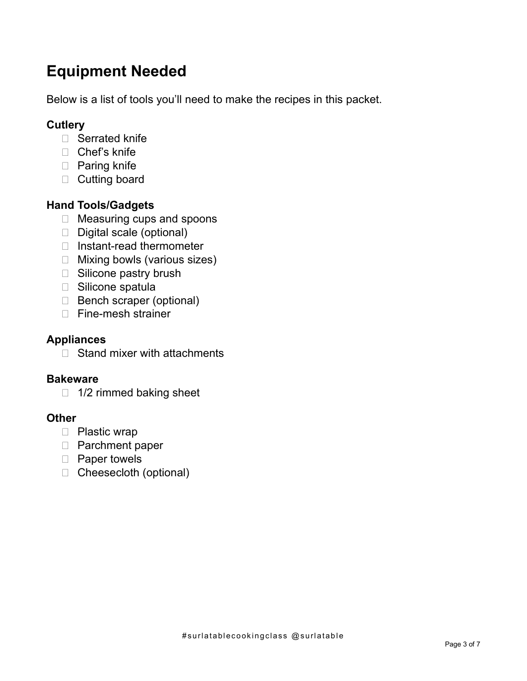# **Equipment Needed**

Below is a list of tools you'll need to make the recipes in this packet.

### **Cutlery**

- □ Serrated knife
- □ Chef's knife
- □ Paring knife
- □ Cutting board

### **Hand Tools/Gadgets**

- □ Measuring cups and spoons
- Digital scale (optional)
- □ Instant-read thermometer
- □ Mixing bowls (various sizes)
- □ Silicone pastry brush
- □ Silicone spatula
- Bench scraper (optional)
- □ Fine-mesh strainer

### **Appliances**

 $\Box$  Stand mixer with attachments

### **Bakeware**

 $\Box$  1/2 rimmed baking sheet

### **Other**

- D Plastic wrap
- □ Parchment paper
- D Paper towels
- □ Cheesecloth (optional)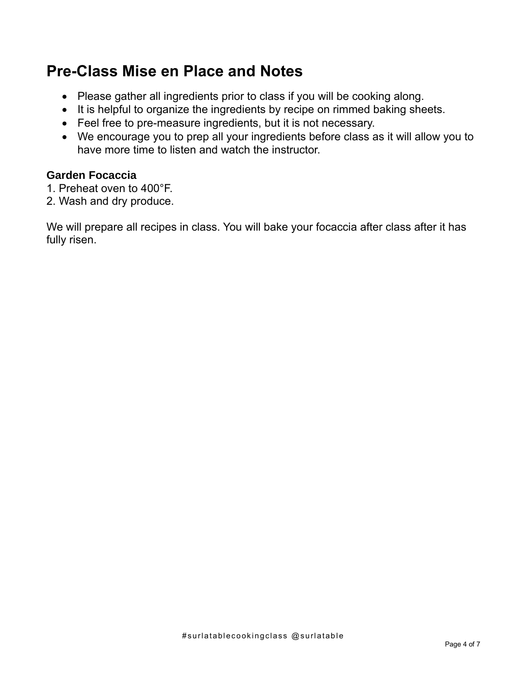## **Pre-Class Mise en Place and Notes**

- Please gather all ingredients prior to class if you will be cooking along.
- It is helpful to organize the ingredients by recipe on rimmed baking sheets.
- Feel free to pre-measure ingredients, but it is not necessary.
- We encourage you to prep all your ingredients before class as it will allow you to have more time to listen and watch the instructor.

### **Garden Focaccia**

- 1. Preheat oven to 400°F.
- 2. Wash and dry produce.

We will prepare all recipes in class. You will bake your focaccia after class after it has fully risen.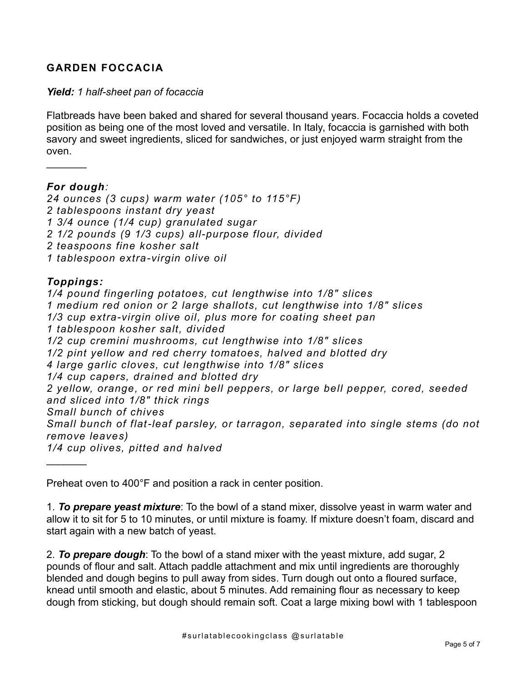### **GARDEN FOCCACIA**

#### *Yield: 1 half-sheet pan of focaccia*

Flatbreads have been baked and shared for several thousand years. Focaccia holds a coveted position as being one of the most loved and versatile. In Italy, focaccia is garnished with both savory and sweet ingredients, sliced for sandwiches, or just enjoyed warm straight from the oven.

### *For dough:*

 $\frac{1}{2}$ 

*24 ounces (3 cups) warm water (105° to 115°F) 2 tablespoons instant dry yeast 1 3/4 ounce (1/4 cup) granulated sugar 2 1/2 pounds (9 1/3 cups) all-purpose flour, divided 2 teaspoons fine kosher salt 1 tablespoon extra-virgin olive oil*

### *Toppings:*

*1/4 pound fingerling potatoes, cut lengthwise into 1/8" slices 1 medium red onion or 2 large shallots, cut lengthwise into 1/8" slices 1/3 cup extra-virgin olive oil, plus more for coating sheet pan 1 tablespoon kosher salt, divided 1/2 cup cremini mushrooms, cut lengthwise into 1/8" slices 1/2 pint yellow and red cherry tomatoes, halved and blotted dry 4 large garlic cloves, cut lengthwise into 1/8" slices 1/4 cup capers, drained and blotted dry 2 yellow, orange, or red mini bell peppers, or large bell pepper, cored, seeded and sliced into 1/8" thick rings Small bunch of chives Small bunch of flat-leaf parsley, or tarragon, separated into single stems (do not remove leaves) 1/4 cup olives, pitted and halved*  $\frac{1}{2}$ 

Preheat oven to 400°F and position a rack in center position.

1. *To prepare yeast mixture*: To the bowl of a stand mixer, dissolve yeast in warm water and allow it to sit for 5 to 10 minutes, or until mixture is foamy. If mixture doesn't foam, discard and start again with a new batch of yeast.

2. *To prepare dough*: To the bowl of a stand mixer with the yeast mixture, add sugar, 2 pounds of flour and salt. Attach paddle attachment and mix until ingredients are thoroughly blended and dough begins to pull away from sides. Turn dough out onto a floured surface, knead until smooth and elastic, about 5 minutes. Add remaining flour as necessary to keep dough from sticking, but dough should remain soft. Coat a large mixing bowl with 1 tablespoon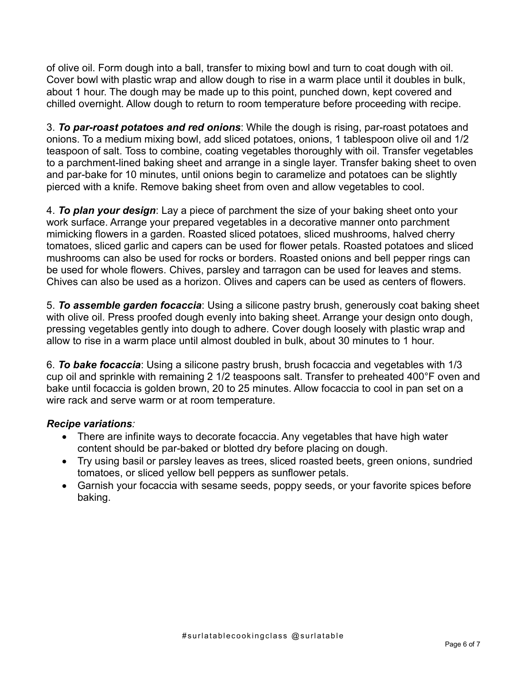of olive oil. Form dough into a ball, transfer to mixing bowl and turn to coat dough with oil. Cover bowl with plastic wrap and allow dough to rise in a warm place until it doubles in bulk, about 1 hour. The dough may be made up to this point, punched down, kept covered and chilled overnight. Allow dough to return to room temperature before proceeding with recipe.

3. *To par-roast potatoes and red onions*: While the dough is rising, par-roast potatoes and onions. To a medium mixing bowl, add sliced potatoes, onions, 1 tablespoon olive oil and 1/2 teaspoon of salt. Toss to combine, coating vegetables thoroughly with oil. Transfer vegetables to a parchment-lined baking sheet and arrange in a single layer. Transfer baking sheet to oven and par-bake for 10 minutes, until onions begin to caramelize and potatoes can be slightly pierced with a knife. Remove baking sheet from oven and allow vegetables to cool.

4. *To plan your design*: Lay a piece of parchment the size of your baking sheet onto your work surface. Arrange your prepared vegetables in a decorative manner onto parchment mimicking flowers in a garden. Roasted sliced potatoes, sliced mushrooms, halved cherry tomatoes, sliced garlic and capers can be used for flower petals. Roasted potatoes and sliced mushrooms can also be used for rocks or borders. Roasted onions and bell pepper rings can be used for whole flowers. Chives, parsley and tarragon can be used for leaves and stems. Chives can also be used as a horizon. Olives and capers can be used as centers of flowers.

5. *To assemble garden focaccia*: Using a silicone pastry brush, generously coat baking sheet with olive oil. Press proofed dough evenly into baking sheet. Arrange your design onto dough, pressing vegetables gently into dough to adhere. Cover dough loosely with plastic wrap and allow to rise in a warm place until almost doubled in bulk, about 30 minutes to 1 hour.

6. *To bake focaccia*: Using a silicone pastry brush, brush focaccia and vegetables with 1/3 cup oil and sprinkle with remaining 2 1/2 teaspoons salt. Transfer to preheated 400°F oven and bake until focaccia is golden brown, 20 to 25 minutes. Allow focaccia to cool in pan set on a wire rack and serve warm or at room temperature.

### *Recipe variations:*

- There are infinite ways to decorate focaccia. Any vegetables that have high water content should be par-baked or blotted dry before placing on dough.
- Try using basil or parsley leaves as trees, sliced roasted beets, green onions, sundried tomatoes, or sliced yellow bell peppers as sunflower petals.
- Garnish your focaccia with sesame seeds, poppy seeds, or your favorite spices before baking.